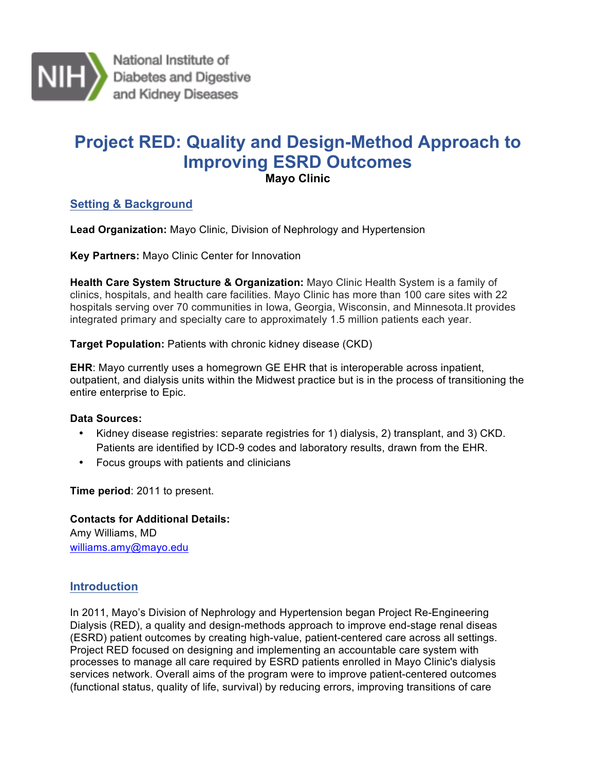

National Institute of Diabetes and Digestive and Kidney Diseases

# **Project RED: Quality and Design-Method Approach to Improving ESRD Outcomes Mayo Clinic**

 **Setting & Background** 

**Lead Organization:** Mayo Clinic, Division of Nephrology and Hypertension

 **Key Partners:** Mayo Clinic Center for Innovation

 **Health Care System Structure & Organization:** Mayo Clinic Health System is a family of hospitals serving over 70 communities in Iowa, Georgia, Wisconsin, and Minnesota.It provides integrated primary and specialty care to approximately 1.5 million patients each year. clinics, hospitals, and health care facilities. Mayo Clinic has more than 100 care sites with 22

**Target Population:** Patients with chronic kidney disease (CKD)

 outpatient, and dialysis units within the Midwest practice but is in the process of transitioning the **EHR**: Mayo currently uses a homegrown GE EHR that is interoperable across inpatient, entire enterprise to Epic.

#### **Data Sources:**

- • Kidney disease registries: separate registries for 1) dialysis, 2) transplant, and 3) CKD. Patients are identified by ICD-9 codes and laboratory results, drawn from the EHR.
- Focus groups with patients and clinicians

**Time period**: 2011 to present.

**Contacts for Additional Details:**  Amy Williams, MD williams.amy@mayo.edu

# **Introduction**

 In 2011, Mayo's Division of Nephrology and Hypertension began Project Re-Engineering Dialysis (RED), a quality and design-methods approach to improve end-stage renal diseas (ESRD) patient outcomes by creating high-value, patient-centered care across all settings. processes to manage all care required by ESRD patients enrolled in Mayo Clinic's dialysis services network. Overall aims of the program were to improve patient-centered outcomes (functional status, quality of life, survival) by reducing errors, improving transitions of care Project RED focused on designing and implementing an accountable care system with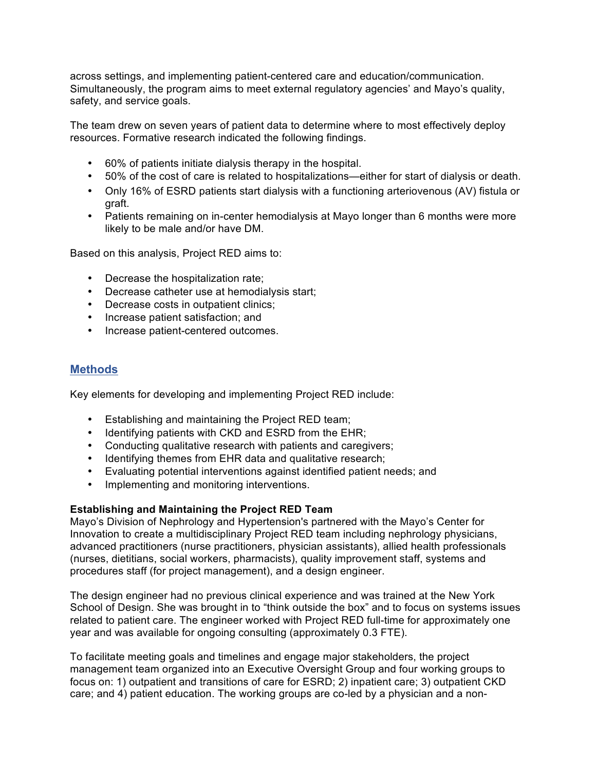across settings, and implementing patient-centered care and education/communication. Simultaneously, the program aims to meet external regulatory agencies' and Mayo's quality, safety, and service goals.

 The team drew on seven years of patient data to determine where to most effectively deploy resources. Formative research indicated the following findings.

- 60% of patients initiate dialysis therapy in the hospital.
- 50% of the cost of care is related to hospitalizations—either for start of dialysis or death.
- • Only 16% of ESRD patients start dialysis with a functioning arteriovenous (AV) fistula or graft.
- • Patients remaining on in-center hemodialysis at Mayo longer than 6 months were more likely to be male and/or have DM.

Based on this analysis, Project RED aims to:

- Decrease the hospitalization rate;
- Decrease catheter use at hemodialysis start;
- Decrease costs in outpatient clinics;
- Increase patient satisfaction; and
- Increase patient-centered outcomes.

### **Methods**

Key elements for developing and implementing Project RED include:

- Establishing and maintaining the Project RED team;
- Identifying patients with CKD and ESRD from the EHR;
- Conducting qualitative research with patients and caregivers;
- Identifying themes from EHR data and qualitative research;
- Evaluating potential interventions against identified patient needs; and
- Implementing and monitoring interventions.

#### **Establishing and Maintaining the Project RED Team**

 Mayo's Division of Nephrology and Hypertension's partnered with the Mayo's Center for Innovation to create a multidisciplinary Project RED team including nephrology physicians, advanced practitioners (nurse practitioners, physician assistants), allied health professionals (nurses, dietitians, social workers, pharmacists), quality improvement staff, systems and procedures staff (for project management), and a design engineer.

 The design engineer had no previous clinical experience and was trained at the New York School of Design. She was brought in to "think outside the box" and to focus on systems issues related to patient care. The engineer worked with Project RED full-time for approximately one year and was available for ongoing consulting (approximately 0.3 FTE).

 To facilitate meeting goals and timelines and engage major stakeholders, the project management team organized into an Executive Oversight Group and four working groups to focus on: 1) outpatient and transitions of care for ESRD; 2) inpatient care; 3) outpatient CKD care; and 4) patient education. The working groups are co-led by a physician and a non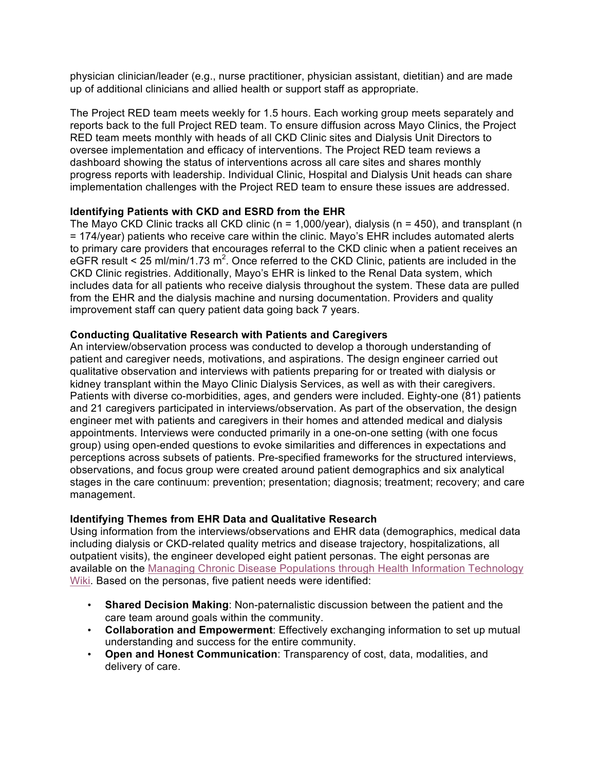physician clinician/leader (e.g., nurse practitioner, physician assistant, dietitian) and are made up of additional clinicians and allied health or support staff as appropriate.

 The Project RED team meets weekly for 1.5 hours. Each working group meets separately and reports back to the full Project RED team. To ensure diffusion across Mayo Clinics, the Project RED team meets monthly with heads of all CKD Clinic sites and Dialysis Unit Directors to oversee implementation and efficacy of interventions. The Project RED team reviews a dashboard showing the status of interventions across all care sites and shares monthly progress reports with leadership. Individual Clinic, Hospital and Dialysis Unit heads can share implementation challenges with the Project RED team to ensure these issues are addressed.

#### **Identifying Patients with CKD and ESRD from the EHR**

 The Mayo CKD Clinic tracks all CKD clinic (n = 1,000/year), dialysis (n = 450), and transplant (n = 174/year) patients who receive care within the clinic. Mayo's EHR includes automated alerts eGFR result < 25 ml/min/1.73 m<sup>2</sup>. Once referred to the CKD Clinic, patients are included in the CKD Clinic registries. Additionally, Mayo's EHR is linked to the Renal Data system, which includes data for all patients who receive dialysis throughout the system. These data are pulled improvement staff can query patient data going back 7 years. to primary care providers that encourages referral to the CKD clinic when a patient receives an from the EHR and the dialysis machine and nursing documentation. Providers and quality

#### **Conducting Qualitative Research with Patients and Caregivers**

 An interview/observation process was conducted to develop a thorough understanding of patient and caregiver needs, motivations, and aspirations. The design engineer carried out qualitative observation and interviews with patients preparing for or treated with dialysis or kidney transplant within the Mayo Clinic Dialysis Services, as well as with their caregivers. Patients with diverse co-morbidities, ages, and genders were included. Eighty-one (81) patients and 21 caregivers participated in interviews/observation. As part of the observation, the design engineer met with patients and caregivers in their homes and attended medical and dialysis appointments. Interviews were conducted primarily in a one-on-one setting (with one focus perceptions across subsets of patients. Pre-specified frameworks for the structured interviews, observations, and focus group were created around patient demographics and six analytical stages in the care continuum: prevention; presentation; diagnosis; treatment; recovery; and care group) using open-ended questions to evoke similarities and differences in expectations and management.

#### **Identifying Themes from EHR Data and Qualitative Research**

 Using information from the interviews/observations and EHR data (demographics, medical data including dialysis or CKD-related quality metrics and disease trajectory, hospitalizations, all outpatient visits), the engineer developed eight patient personas. The eight personas are available on the Managing Chronic Disease Populations through Health Information Technology Wiki. Based on the personas, five patient needs were identified:

- **Shared Decision Making**: Non-paternalistic discussion between the patient and the care team around goals within the community.
- **Collaboration and Empowerment**: Effectively exchanging information to set up mutual understanding and success for the entire community.
- **Open and Honest Communication**: Transparency of cost, data, modalities, and delivery of care.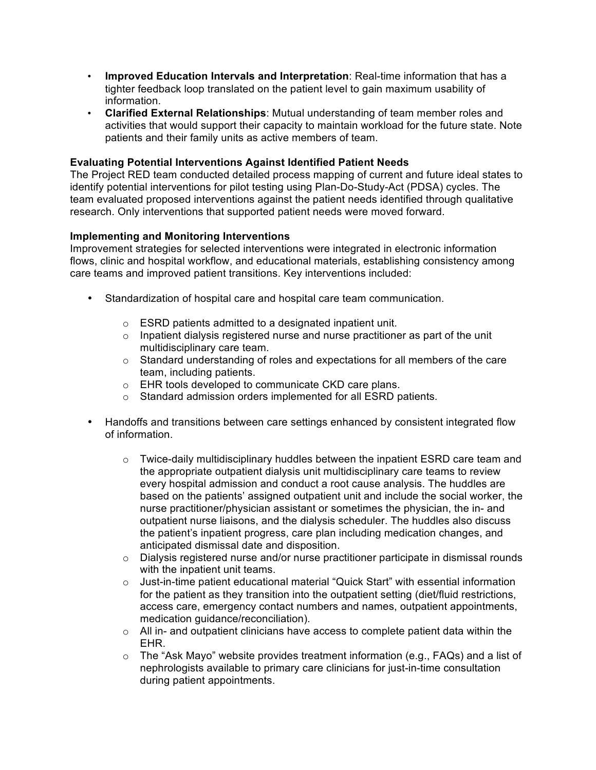- tighter feedback loop translated on the patient level to gain maximum usability of • **Improved Education Intervals and Interpretation**: Real-time information that has a information.
- **Clarified External Relationships**: Mutual understanding of team member roles and activities that would support their capacity to maintain workload for the future state. Note patients and their family units as active members of team.

#### **Evaluating Potential Interventions Against Identified Patient Needs**

 The Project RED team conducted detailed process mapping of current and future ideal states to identify potential interventions for pilot testing using Plan-Do-Study-Act (PDSA) cycles. The team evaluated proposed interventions against the patient needs identified through qualitative research. Only interventions that supported patient needs were moved forward.

#### **Implementing and Monitoring Interventions**

 Improvement strategies for selected interventions were integrated in electronic information care teams and improved patient transitions. Key interventions included: flows, clinic and hospital workflow, and educational materials, establishing consistency among

- • Standardization of hospital care and hospital care team communication.
	- $\circ$  ESRD patients admitted to a designated inpatient unit.
	- $\circ$  Inpatient dialysis registered nurse and nurse practitioner as part of the unit multidisciplinary care team.
	- $\circ$  Standard understanding of roles and expectations for all members of the care team, including patients.
	- $\circ$  EHR tools developed to communicate CKD care plans.
	- $\circ$  Standard admission orders implemented for all ESRD patients.
- • Handoffs and transitions between care settings enhanced by consistent integrated flow of information.
	- $\circ$  Twice-daily multidisciplinary huddles between the inpatient ESRD care team and every hospital admission and conduct a root cause analysis. The huddles are based on the patients' assigned outpatient unit and include the social worker, the outpatient nurse liaisons, and the dialysis scheduler. The huddles also discuss the appropriate outpatient dialysis unit multidisciplinary care teams to review nurse practitioner/physician assistant or sometimes the physician, the in- and the patient's inpatient progress, care plan including medication changes, and anticipated dismissal date and disposition.
	- $\circ$  Dialysis registered nurse and/or nurse practitioner participate in dismissal rounds with the inpatient unit teams.
	- for the patient as they transition into the outpatient setting (diet/fluid restrictions, access care, emergency contact numbers and names, outpatient appointments,  $\circ$  Just-in-time patient educational material "Quick Start" with essential information medication guidance/reconciliation).
	- $\circ$  All in- and outpatient clinicians have access to complete patient data within the EHR.
	- $\circ$  The "Ask Mayo" website provides treatment information (e.g., FAQs) and a list of nephrologists available to primary care clinicians for just-in-time consultation during patient appointments.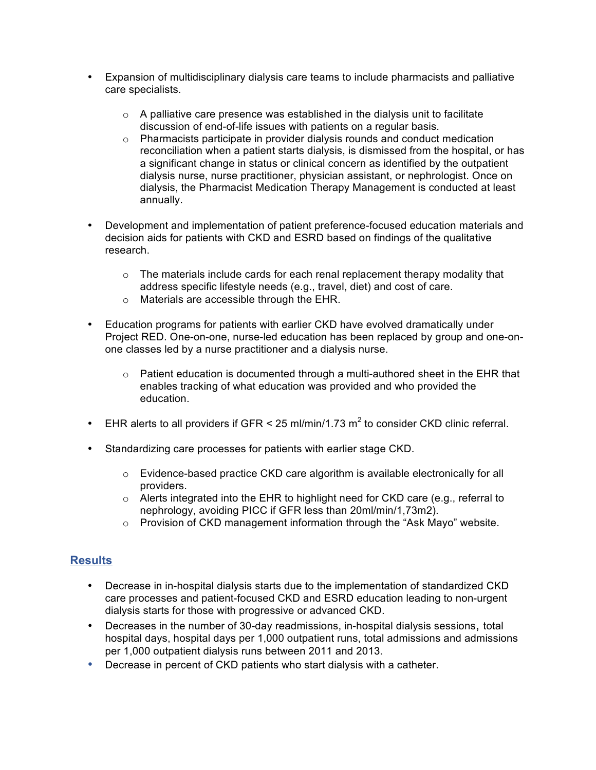- • Expansion of multidisciplinary dialysis care teams to include pharmacists and palliative  care specialists.
	- $\circ$  A palliative care presence was established in the dialysis unit to facilitate discussion of end-of-life issues with patients on a regular basis.
	- $\circ$  Pharmacists participate in provider dialysis rounds and conduct medication reconciliation when a patient starts dialysis, is dismissed from the hospital, or has a significant change in status or clinical concern as identified by the outpatient dialysis nurse, nurse practitioner, physician assistant, or nephrologist. Once on dialysis, the Pharmacist Medication Therapy Management is conducted at least annually.
- • Development and implementation of patient preference-focused education materials and decision aids for patients with CKD and ESRD based on findings of the qualitative research.
	- $\circ$  The materials include cards for each renal replacement therapy modality that address specific lifestyle needs (e.g., travel, diet) and cost of care.
	- o Materials are accessible through the EHR.
- • Education programs for patients with earlier CKD have evolved dramatically under Project RED. One-on-one, nurse-led education has been replaced by group and one-on- one classes led by a nurse practitioner and a dialysis nurse.
	- o Patient education is documented through a multi-authored sheet in the EHR that enables tracking of what education was provided and who provided the education.
- EHR alerts to all providers if GFR < 25 ml/min/1.73 m<sup>2</sup> to consider CKD clinic referral.
- Standardizing care processes for patients with earlier stage CKD.
	- $\circ$  Evidence-based practice CKD care algorithm is available electronically for all providers.
	- o Alerts integrated into the EHR to highlight need for CKD care (e.g., referral to nephrology, avoiding PICC if GFR less than 20ml/min/1,73m2).
	- $\circ$  Provision of CKD management information through the "Ask Mayo" website.

# **Results**

- Decrease in in-hospital dialysis starts due to the implementation of standardized CKD care processes and patient-focused CKD and ESRD education leading to non-urgent dialysis starts for those with progressive or advanced CKD.
- Decreases in the number of 30-day readmissions, in-hospital dialysis sessions, total hospital days, hospital days per 1,000 outpatient runs, total admissions and admissions per 1,000 outpatient dialysis runs between 2011 and 2013.
- Decrease in percent of CKD patients who start dialysis with a catheter.